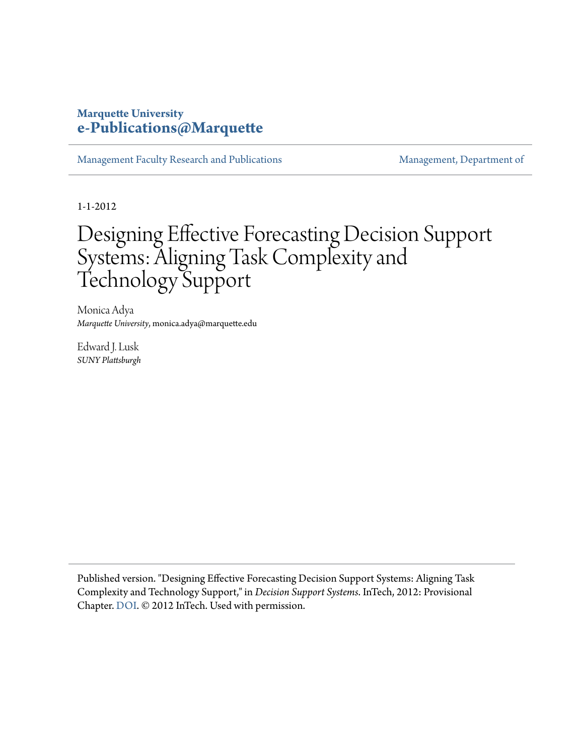# **Marquette University [e-Publications@Marquette](https://epublications.marquette.edu)**

[Management Faculty Research and Publications](https://epublications.marquette.edu/mgmt_fac) [Management, Department of](https://epublications.marquette.edu/mgmt)

1-1-2012

# Designing Effective Forecasting Decision Support Systems: Aligning Task Complexity and Technology Support

Monica Adya *Marquette University*, monica.adya@marquette.edu

Edward J. Lusk *SUNY Plattsburgh*

Published version. "Designing Effective Forecasting Decision Support Systems: Aligning Task Complexity and Technology Support," in *Decision Support Systems*. InTech, 2012: Provisional Chapter. [DOI](http://dx.doi.org/10.5772/51255). © 2012 InTech. Used with permission.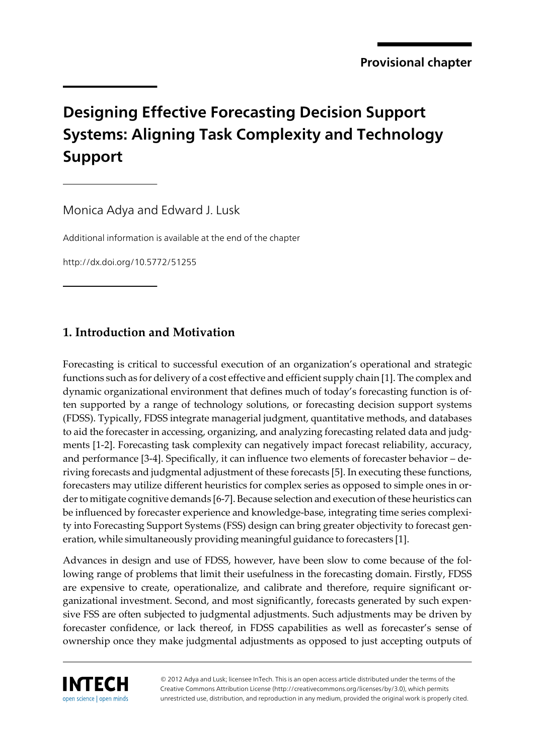# **Designing Effective Forecasting Decision Support Systems: Aligning Task Complexity and Technology Support**

Monica Adya and Edward J. Lusk

Additional information is available at the end of the chapter

http://dx.doi.org/10.5772/51255

# **1. Introduction and Motivation**

Forecasting is critical to successful execution of an organization's operational and strategic functions such as for delivery of a cost effective and efficient supply chain [[1](#page-18-0)]. The complex and dynamic organizational environment that defines much of today's forecasting function is of‐ ten supported by a range of technology solutions, or forecasting decision support systems (FDSS). Typically, FDSS integrate managerial judgment, quantitative methods, and databases to aid the forecaster in accessing, organizing, and analyzing forecasting related data and judgments [[1-2\]](#page-18-0). Forecasting task complexity can negatively impact forecast reliability, accuracy, and performance [\[3-4](#page-18-0)]. Specifically, it can influence two elements of forecaster behavior – deriving forecasts and judgmental adjustment of these forecasts [[5](#page-18-0)]. In executing these functions, forecasters may utilize different heuristics for complex series as opposed to simple ones in or‐ der to mitigate cognitive demands [[6-7\]](#page-18-0). Because selection and execution of these heuristics can be influenced by forecaster experience and knowledge-base, integrating time series complexity into Forecasting Support Systems (FSS) design can bring greater objectivity to forecast gen‐ eration, while simultaneously providing meaningful guidance to forecasters [\[1\]](#page-18-0).

Advances in design and use of FDSS, however, have been slow to come because of the fol‐ lowing range of problems that limit their usefulness in the forecasting domain. Firstly, FDSS are expensive to create, operationalize, and calibrate and therefore, require significant organizational investment. Second, and most significantly, forecasts generated by such expen‐ sive FSS are often subjected to judgmental adjustments. Such adjustments may be driven by forecaster confidence, or lack thereof, in FDSS capabilities as well as forecaster's sense of ownership once they make judgmental adjustments as opposed to just accepting outputs of



© 2012 Adya and Lusk; licensee InTech. This is an open access article distributed under the terms of the Creative Commons Attribution License (http://creativecommons.org/licenses/by/3.0), which permits unrestricted use, distribution, and reproduction in any medium, provided the original work is properly cited.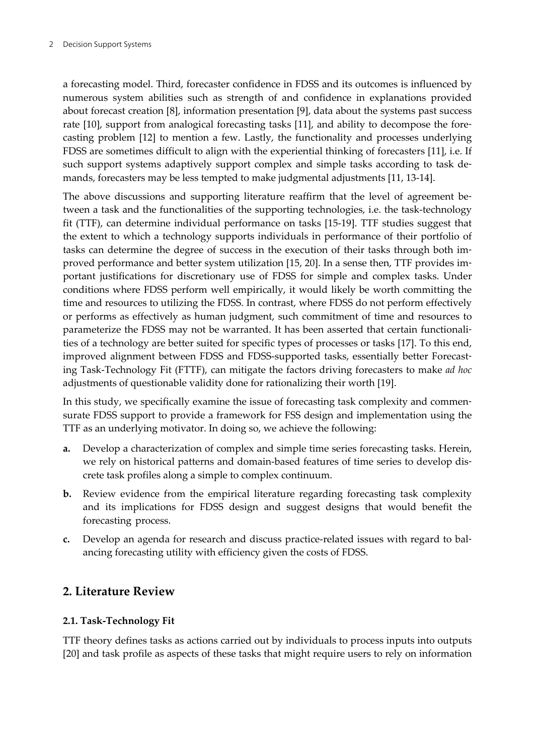a forecasting model. Third, forecaster confidence in FDSS and its outcomes is influenced by numerous system abilities such as strength of and confidence in explanations provided about forecast creation [[8](#page-18-0)], information presentation [\[9\]](#page-18-0), data about the systems past success rate [[10\]](#page-18-0), support from analogical forecasting tasks [\[11](#page-19-0)], and ability to decompose the forecasting problem [\[12](#page-19-0)] to mention a few. Lastly, the functionality and processes underlying FDSS are sometimes difficult to align with the experiential thinking of forecasters [\[11](#page-19-0)], i.e. If such support systems adaptively support complex and simple tasks according to task demands, forecasters may be less tempted to make judgmental adjustments [[11, 13-14](#page-19-0)].

The above discussions and supporting literature reaffirm that the level of agreement be‐ tween a task and the functionalities of the supporting technologies, i.e. the task-technology fit (TTF), can determine individual performance on tasks [[15-19\]](#page-19-0). TTF studies suggest that the extent to which a technology supports individuals in performance of their portfolio of tasks can determine the degree of success in the execution of their tasks through both im‐ proved performance and better system utilization [[15](#page-19-0), [20\]](#page-19-0). In a sense then, TTF provides important justifications for discretionary use of FDSS for simple and complex tasks. Under conditions where FDSS perform well empirically, it would likely be worth committing the time and resources to utilizing the FDSS. In contrast, where FDSS do not perform effectively or performs as effectively as human judgment, such commitment of time and resources to parameterize the FDSS may not be warranted. It has been asserted that certain functionalities of a technology are better suited for specific types of processes or tasks [\[17](#page-19-0)]. To this end, improved alignment between FDSS and FDSS-supported tasks, essentially better Forecasting Task-Technology Fit (FTTF), can mitigate the factors driving forecasters to make *ad hoc* adjustments of questionable validity done for rationalizing their worth [\[19](#page-19-0)].

In this study, we specifically examine the issue of forecasting task complexity and commen‐ surate FDSS support to provide a framework for FSS design and implementation using the TTF as an underlying motivator. In doing so, we achieve the following:

- **a.** Develop a characterization of complex and simple time series forecasting tasks. Herein, we rely on historical patterns and domain-based features of time series to develop dis‐ crete task profiles along a simple to complex continuum.
- **b.** Review evidence from the empirical literature regarding forecasting task complexity and its implications for FDSS design and suggest designs that would benefit the forecasting process.
- **c.** Develop an agenda for research and discuss practice-related issues with regard to bal‐ ancing forecasting utility with efficiency given the costs of FDSS.

## **2. Literature Review**

#### **2.1. Task-Technology Fit**

TTF theory defines tasks as actions carried out by individuals to process inputs into outputs [[20\]](#page-19-0) and task profile as aspects of these tasks that might require users to rely on information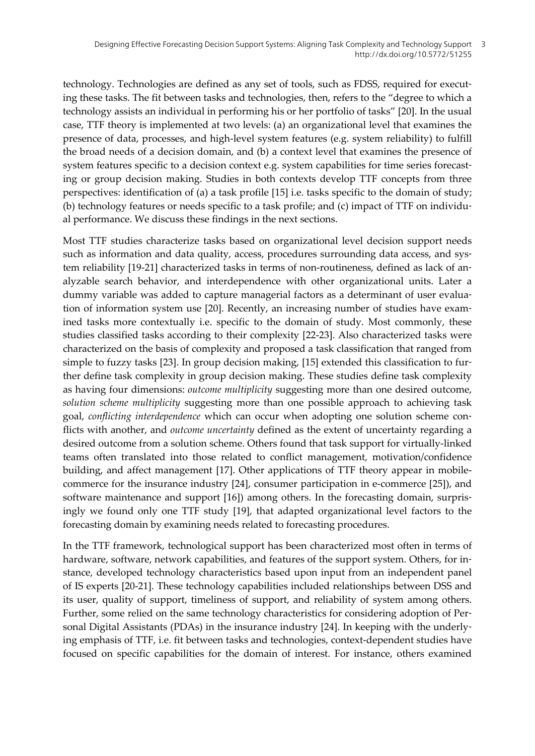technology. Technologies are defined as any set of tools, such as FDSS, required for executing these tasks. The fit between tasks and technologies, then, refers to the "degree to which a technology assists an individual in performing his or her portfolio of tasks" [[20\]](#page-19-0). In the usual case, TTF theory is implemented at two levels: (a) an organizational level that examines the presence of data, processes, and high-level system features (e.g. system reliability) to fulfill the broad needs of a decision domain, and (b) a context level that examines the presence of system features specific to a decision context e.g. system capabilities for time series forecasting or group decision making. Studies in both contexts develop TTF concepts from three perspectives: identification of (a) a task profile [[15\]](#page-19-0) i.e. tasks specific to the domain of study; (b) technology features or needs specific to a task profile; and (c) impact of TTF on individu‐ al performance. We discuss these findings in the next sections.

Most TTF studies characterize tasks based on organizational level decision support needs such as information and data quality, access, procedures surrounding data access, and system reliability [\[19-21](#page-19-0)] characterized tasks in terms of non-routineness, defined as lack of an‐ alyzable search behavior, and interdependence with other organizational units. Later a dummy variable was added to capture managerial factors as a determinant of user evalua‐ tion of information system use [[20\]](#page-19-0). Recently, an increasing number of studies have examined tasks more contextually i.e. specific to the domain of study. Most commonly, these studies classified tasks according to their complexity [[22-23\]](#page-19-0). Also characterized tasks were characterized on the basis of complexity and proposed a task classification that ranged from simple to fuzzy tasks [[23\]](#page-19-0). In group decision making, [\[15](#page-19-0)] extended this classification to fur‐ ther define task complexity in group decision making. These studies define task complexity as having four dimensions: *outcome multiplicity* suggesting more than one desired outcome, *solution scheme multiplicity* suggesting more than one possible approach to achieving task goal, *conflicting interdependence* which can occur when adopting one solution scheme conflicts with another, and *outcome uncertainty* defined as the extent of uncertainty regarding a desired outcome from a solution scheme. Others found that task support for virtually-linked teams often translated into those related to conflict management, motivation/confidence building, and affect management [[17\]](#page-19-0). Other applications of TTF theory appear in mobilecommerce for the insurance industry [[24\]](#page-19-0), consumer participation in e-commerce [[25\]](#page-20-0)), and software maintenance and support [[16\]](#page-19-0)) among others. In the forecasting domain, surprisingly we found only one TTF study [\[19](#page-19-0)], that adapted organizational level factors to the forecasting domain by examining needs related to forecasting procedures.

In the TTF framework, technological support has been characterized most often in terms of hardware, software, network capabilities, and features of the support system. Others, for instance, developed technology characteristics based upon input from an independent panel of IS experts [[20-21\]](#page-19-0). These technology capabilities included relationships between DSS and its user, quality of support, timeliness of support, and reliability of system among others. Further, some relied on the same technology characteristics for considering adoption of Personal Digital Assistants (PDAs) in the insurance industry [\[24](#page-19-0)]. In keeping with the underly‐ ing emphasis of TTF, i.e. fit between tasks and technologies, context-dependent studies have focused on specific capabilities for the domain of interest. For instance, others examined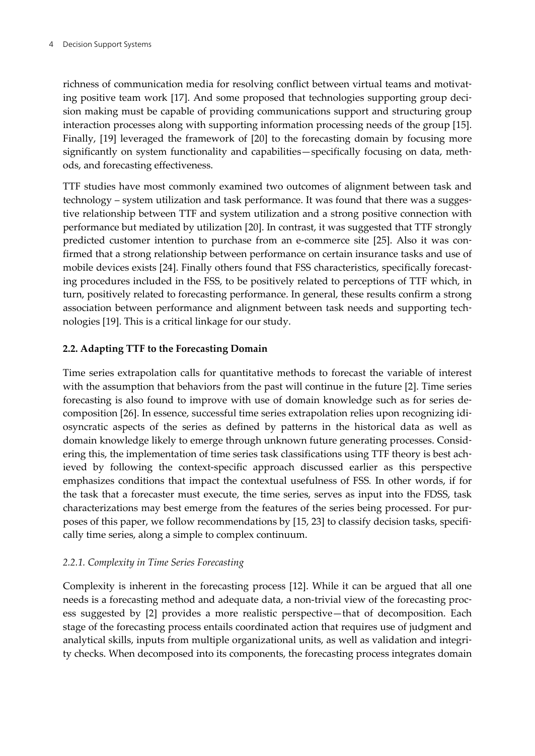richness of communication media for resolving conflict between virtual teams and motivat-ing positive team work [[17\]](#page-19-0). And some proposed that technologies supporting group decision making must be capable of providing communications support and structuring group interaction processes along with supporting information processing needs of the group [[15\]](#page-19-0). Finally, [\[19](#page-19-0)] leveraged the framework of [\[20](#page-19-0)] to the forecasting domain by focusing more significantly on system functionality and capabilities—specifically focusing on data, methods, and forecasting effectiveness.

TTF studies have most commonly examined two outcomes of alignment between task and technology – system utilization and task performance. It was found that there was a suggestive relationship between TTF and system utilization and a strong positive connection with performance but mediated by utilization [[20\]](#page-19-0). In contrast, it was suggested that TTF strongly predicted customer intention to purchase from an e-commerce site [\[25](#page-20-0)]. Also it was confirmed that a strong relationship between performance on certain insurance tasks and use of mobile devices exists [[24\]](#page-19-0). Finally others found that FSS characteristics, specifically forecasting procedures included in the FSS, to be positively related to perceptions of TTF which, in turn, positively related to forecasting performance. In general, these results confirm a strong association between performance and alignment between task needs and supporting tech‐ nologies [\[19](#page-19-0)]. This is a critical linkage for our study.

#### **2.2. Adapting TTF to the Forecasting Domain**

Time series extrapolation calls for quantitative methods to forecast the variable of interest with the assumption that behaviors from the past will continue in the future [[2](#page-18-0)]. Time series forecasting is also found to improve with use of domain knowledge such as for series de‐ composition [\[26](#page-20-0)]. In essence, successful time series extrapolation relies upon recognizing idiosyncratic aspects of the series as defined by patterns in the historical data as well as domain knowledge likely to emerge through unknown future generating processes. Consid‐ ering this, the implementation of time series task classifications using TTF theory is best achieved by following the context-specific approach discussed earlier as this perspective emphasizes conditions that impact the contextual usefulness of FSS*.* In other words, if for the task that a forecaster must execute, the time series, serves as input into the FDSS, task characterizations may best emerge from the features of the series being processed. For pur-poses of this paper, we follow recommendations by [\[15](#page-19-0), [23\]](#page-19-0) to classify decision tasks, specifically time series, along a simple to complex continuum.

#### *2.2.1. Complexity in Time Series Forecasting*

Complexity is inherent in the forecasting process [[12\]](#page-19-0). While it can be argued that all one needs is a forecasting method and adequate data, a non-trivial view of the forecasting proc‐ ess suggested by [\[2\]](#page-18-0) provides a more realistic perspective—that of decomposition. Each stage of the forecasting process entails coordinated action that requires use of judgment and analytical skills, inputs from multiple organizational units, as well as validation and integri‐ ty checks. When decomposed into its components, the forecasting process integrates domain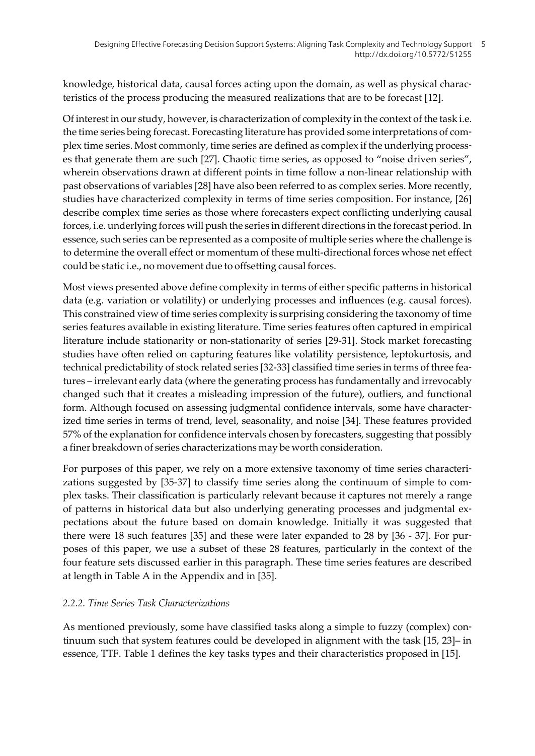knowledge, historical data, causal forces acting upon the domain, as well as physical characteristics of the process producing the measured realizations that are to be forecast [[12\]](#page-19-0).

Of interest in our study, however, is characterization of complexity in the context of the task i.e. the time series being forecast. Forecasting literature has provided some interpretations of com‐ plex time series. Most commonly, time series are defined as complex if the underlying processes that generate them are such [[27\]](#page-20-0). Chaotic time series, as opposed to "noise driven series", wherein observations drawn at different points in time follow a non-linear relationship with past observations of variables [\[28](#page-20-0)] have also been referred to as complex series. More recently, studies have characterized complexity in terms of time series composition. For instance, [\[26](#page-20-0)] describe complex time series as those where forecasters expect conflicting underlying causal forces, i.e. underlying forces will push the series in different directions in the forecast period. In essence, such series can be represented as a composite of multiple series where the challenge is to determine the overall effect or momentum of these multi-directional forces whose net effect could be static i.e., no movement due to offsetting causal forces.

Most views presented above define complexity in terms of either specific patterns in historical data (e.g. variation or volatility) or underlying processes and influences (e.g. causal forces). This constrained view of time series complexity is surprising considering the taxonomy of time series features available in existing literature. Time series features often captured in empirical literature include stationarity or non-stationarity of series [\[29-31](#page-20-0)]. Stock market forecasting studies have often relied on capturing features like volatility persistence, leptokurtosis, and technical predictability of stock related series [\[32-33](#page-20-0)] classified time series in terms of three fea‐ tures – irrelevant early data (where the generating process has fundamentally and irrevocably changed such that it creates a misleading impression of the future), outliers, and functional form. Although focused on assessing judgmental confidence intervals, some have characterized time series in terms of trend, level, seasonality, and noise [\[34](#page-20-0)]. These features provided 57% of the explanation for confidence intervals chosen by forecasters, suggesting that possibly a finer breakdown of series characterizations may be worth consideration.

For purposes of this paper, we rely on a more extensive taxonomy of time series characteri-zations suggested by [[35-37\]](#page-20-0) to classify time series along the continuum of simple to complex tasks. Their classification is particularly relevant because it captures not merely a range of patterns in historical data but also underlying generating processes and judgmental ex‐ pectations about the future based on domain knowledge. Initially it was suggested that there were 18 such features [\[35](#page-20-0)] and these were later expanded to 28 by [\[36](#page-20-0) - [37](#page-20-0)]. For purposes of this paper, we use a subset of these 28 features, particularly in the context of the four feature sets discussed earlier in this paragraph. These time series features are described at length in Table A in the Appendix and in [\[35](#page-20-0)].

#### *2.2.2. Time Series Task Characterizations*

As mentioned previously, some have classified tasks along a simple to fuzzy (complex) con‐ tinuum such that system features could be developed in alignment with the task [[15, 23](#page-19-0)]– in essence, TTF. Table 1 defines the key tasks types and their characteristics proposed in [\[15](#page-19-0)].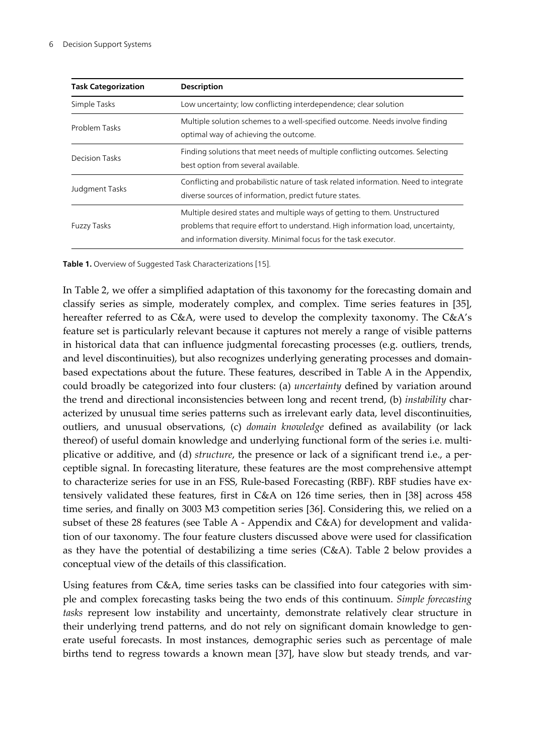| <b>Task Categorization</b> | <b>Description</b>                                                                                                                                                                                                               |  |  |
|----------------------------|----------------------------------------------------------------------------------------------------------------------------------------------------------------------------------------------------------------------------------|--|--|
| Simple Tasks               | Low uncertainty; low conflicting interdependence; clear solution                                                                                                                                                                 |  |  |
| Problem Tasks              | Multiple solution schemes to a well-specified outcome. Needs involve finding<br>optimal way of achieving the outcome.                                                                                                            |  |  |
| Decision Tasks             | Finding solutions that meet needs of multiple conflicting outcomes. Selecting<br>best option from several available.                                                                                                             |  |  |
| Judgment Tasks             | Conflicting and probabilistic nature of task related information. Need to integrate<br>diverse sources of information, predict future states.                                                                                    |  |  |
| <b>Fuzzy Tasks</b>         | Multiple desired states and multiple ways of getting to them. Unstructured<br>problems that require effort to understand. High information load, uncertainty,<br>and information diversity. Minimal focus for the task executor. |  |  |

**Table 1.** Overview of Suggested Task Characterizations [\[15](#page-19-0)].

In Table 2, we offer a simplified adaptation of this taxonomy for the forecasting domain and classify series as simple, moderately complex, and complex. Time series features in [[35\]](#page-20-0), hereafter referred to as C&A, were used to develop the complexity taxonomy. The C&A's feature set is particularly relevant because it captures not merely a range of visible patterns in historical data that can influence judgmental forecasting processes (e.g. outliers, trends, and level discontinuities), but also recognizes underlying generating processes and domainbased expectations about the future. These features, described in Table A in the Appendix, could broadly be categorized into four clusters: (a) *uncertainty* defined by variation around the trend and directional inconsistencies between long and recent trend, (b) *instability* char‐ acterized by unusual time series patterns such as irrelevant early data, level discontinuities, outliers, and unusual observations, (c) *domain knowledge* defined as availability (or lack thereof) of useful domain knowledge and underlying functional form of the series i.e. multiplicative or additive, and (d) *structure*, the presence or lack of a significant trend i.e., a per‐ ceptible signal. In forecasting literature, these features are the most comprehensive attempt to characterize series for use in an FSS, Rule-based Forecasting (RBF). RBF studies have ex‐ tensively validated these features, first in C&A on 126 time series, then in [\[38](#page-20-0)] across 458 time series, and finally on 3003 M3 competition series [\[36](#page-20-0)]. Considering this, we relied on a subset of these 28 features (see Table A - Appendix and C&A) for development and validation of our taxonomy. The four feature clusters discussed above were used for classification as they have the potential of destabilizing a time series  $(C&A)$ . Table 2 below provides a conceptual view of the details of this classification.

Using features from C&A, time series tasks can be classified into four categories with sim‐ ple and complex forecasting tasks being the two ends of this continuum. *Simple forecasting tasks* represent low instability and uncertainty, demonstrate relatively clear structure in their underlying trend patterns, and do not rely on significant domain knowledge to generate useful forecasts. In most instances, demographic series such as percentage of male births tend to regress towards a known mean [\[37](#page-20-0)], have slow but steady trends, and var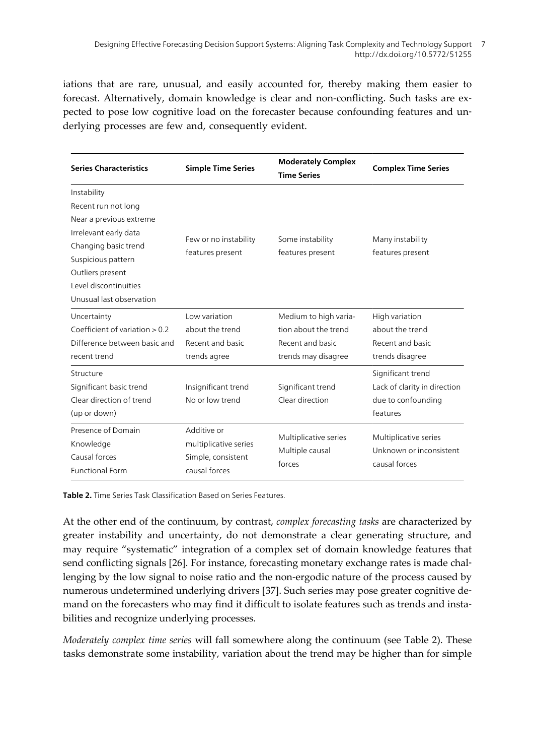iations that are rare, unusual, and easily accounted for, thereby making them easier to forecast. Alternatively, domain knowledge is clear and non-conflicting. Such tasks are expected to pose low cognitive load on the forecaster because confounding features and underlying processes are few and, consequently evident.

| <b>Series Characteristics</b>    | <b>Simple Time Series</b> | <b>Moderately Complex</b><br><b>Time Series</b> | <b>Complex Time Series</b>                       |
|----------------------------------|---------------------------|-------------------------------------------------|--------------------------------------------------|
| Instability                      |                           |                                                 |                                                  |
| Recent run not long              |                           |                                                 |                                                  |
| Near a previous extreme          |                           |                                                 |                                                  |
| Irrelevant early data            | Few or no instability     | Some instability                                | Many instability                                 |
| Changing basic trend             | features present          | features present                                | features present                                 |
| Suspicious pattern               |                           |                                                 |                                                  |
| Outliers present                 |                           |                                                 |                                                  |
| Level discontinuities            |                           |                                                 |                                                  |
| Unusual last observation         |                           |                                                 |                                                  |
| Uncertainty                      | Low variation             | Medium to high varia-                           | High variation                                   |
| Coefficient of variation $> 0.2$ | about the trend           | tion about the trend                            | about the trend                                  |
| Difference between basic and     | Recent and basic          | Recent and basic                                | Recent and basic                                 |
| recent trend                     | trends agree              | trends may disagree                             | trends disagree                                  |
| Structure                        |                           |                                                 | Significant trend                                |
| Significant basic trend          | Insignificant trend       | Significant trend                               | Lack of clarity in direction                     |
| Clear direction of trend         | No or low trend           | Clear direction                                 | due to confounding                               |
| (up or down)                     |                           |                                                 | features                                         |
| Presence of Domain               | Additive or               |                                                 |                                                  |
| Knowledge                        | multiplicative series     | Multiplicative series<br>Multiple causal        | Multiplicative series<br>Unknown or inconsistent |
| Causal forces                    | Simple, consistent        | forces                                          | causal forces                                    |
| <b>Functional Form</b>           | causal forces             |                                                 |                                                  |

**Table 2.** Time Series Task Classification Based on Series Features.

At the other end of the continuum, by contrast, *complex forecasting tasks* are characterized by greater instability and uncertainty, do not demonstrate a clear generating structure, and may require "systematic" integration of a complex set of domain knowledge features that send conflicting signals [\[26](#page-20-0)]. For instance, forecasting monetary exchange rates is made challenging by the low signal to noise ratio and the non-ergodic nature of the process caused by numerous undetermined underlying drivers [\[37](#page-20-0)]. Such series may pose greater cognitive de‐ mand on the forecasters who may find it difficult to isolate features such as trends and instabilities and recognize underlying processes.

*Moderately complex time series* will fall somewhere along the continuum (see Table 2). These tasks demonstrate some instability, variation about the trend may be higher than for simple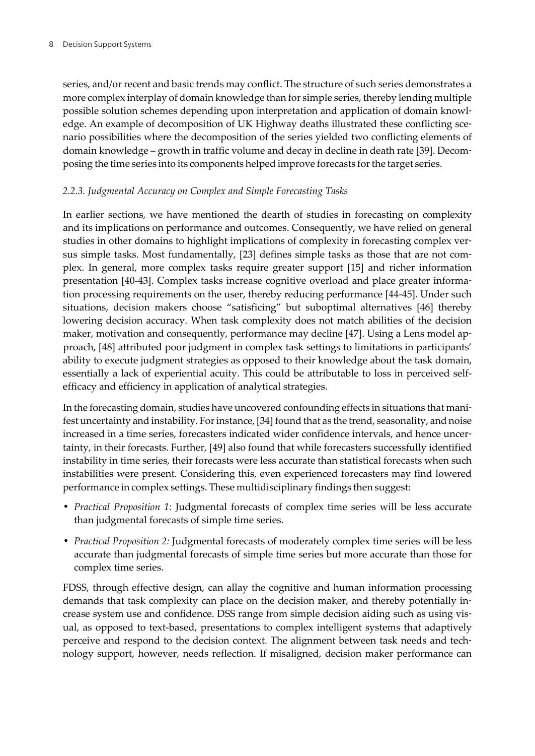series, and/or recent and basic trends may conflict. The structure of such series demonstrates a more complex interplay of domain knowledge than for simple series, thereby lending multiple possible solution schemes depending upon interpretation and application of domain knowledge. An example of decomposition of UK Highway deaths illustrated these conflicting scenario possibilities where the decomposition of the series yielded two conflicting elements of domain knowledge – growth in traffic volume and decay in decline in death rate [[39\]](#page-21-0). Decom‐ posing the time series into its components helped improve forecasts for the target series.

#### *2.2.3. Judgmental Accuracy on Complex and Simple Forecasting Tasks*

In earlier sections, we have mentioned the dearth of studies in forecasting on complexity and its implications on performance and outcomes. Consequently, we have relied on general studies in other domains to highlight implications of complexity in forecasting complex ver-sus simple tasks. Most fundamentally, [[23\]](#page-19-0) defines simple tasks as those that are not complex. In general, more complex tasks require greater support [[15\]](#page-19-0) and richer information presentation [\[40-43](#page-21-0)]. Complex tasks increase cognitive overload and place greater information processing requirements on the user, thereby reducing performance [\[44-45](#page-21-0)]. Under such situations, decision makers choose "satisficing" but suboptimal alternatives [[46\]](#page-21-0) thereby lowering decision accuracy. When task complexity does not match abilities of the decision maker, motivation and consequently, performance may decline [\[47](#page-21-0)]. Using a Lens model approach, [[48](#page-21-0)] attributed poor judgment in complex task settings to limitations in participants' ability to execute judgment strategies as opposed to their knowledge about the task domain, essentially a lack of experiential acuity. This could be attributable to loss in perceived selfefficacy and efficiency in application of analytical strategies.

In the forecasting domain, studies have uncovered confounding effects in situations that manifest uncertainty and instability. For instance, [\[34](#page-20-0)] found that as the trend, seasonality, and noise increased in a time series, forecasters indicated wider confidence intervals, and hence uncertainty, in their forecasts. Further, [[49\]](#page-21-0) also found that while forecasters successfully identified instability in time series, their forecasts were less accurate than statistical forecasts when such instabilities were present. Considering this, even experienced forecasters may find lowered performance in complex settings. These multidisciplinary findings then suggest:

- **•** *Practical Proposition 1:* Judgmental forecasts of complex time series will be less accurate than judgmental forecasts of simple time series.
- **•** *Practical Proposition 2:* Judgmental forecasts of moderately complex time series will be less accurate than judgmental forecasts of simple time series but more accurate than those for complex time series.

FDSS, through effective design, can allay the cognitive and human information processing demands that task complexity can place on the decision maker, and thereby potentially in‐ crease system use and confidence. DSS range from simple decision aiding such as using vis‐ ual, as opposed to text-based, presentations to complex intelligent systems that adaptively perceive and respond to the decision context. The alignment between task needs and technology support, however, needs reflection. If misaligned, decision maker performance can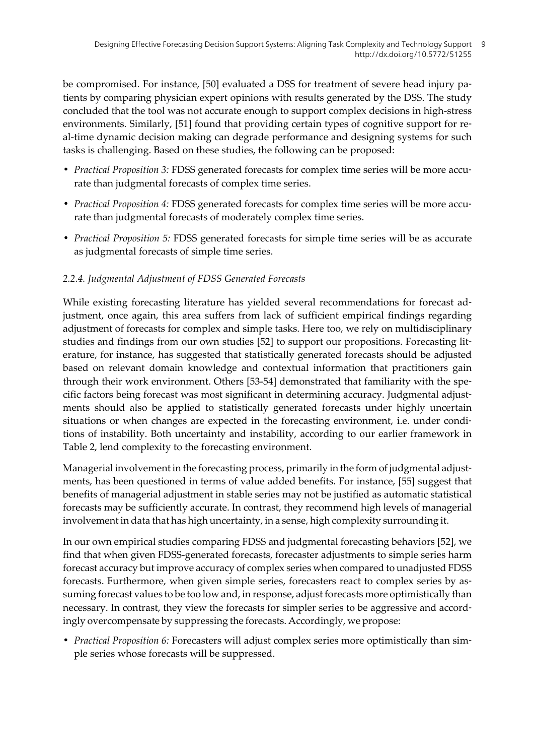be compromised. For instance, [[50\]](#page-21-0) evaluated a DSS for treatment of severe head injury patients by comparing physician expert opinions with results generated by the DSS. The study concluded that the tool was not accurate enough to support complex decisions in high-stress environments. Similarly, [[51\]](#page-21-0) found that providing certain types of cognitive support for real-time dynamic decision making can degrade performance and designing systems for such tasks is challenging. Based on these studies, the following can be proposed:

- *Practical Proposition 3:* FDSS generated forecasts for complex time series will be more accurate than judgmental forecasts of complex time series.
- *Practical Proposition 4:* FDSS generated forecasts for complex time series will be more accurate than judgmental forecasts of moderately complex time series.
- **•** *Practical Proposition 5:* FDSS generated forecasts for simple time series will be as accurate as judgmental forecasts of simple time series.

#### *2.2.4. Judgmental Adjustment of FDSS Generated Forecasts*

While existing forecasting literature has yielded several recommendations for forecast adjustment, once again, this area suffers from lack of sufficient empirical findings regarding adjustment of forecasts for complex and simple tasks. Here too, we rely on multidisciplinary studies and findings from our own studies [[52\]](#page-22-0) to support our propositions. Forecasting lit‐ erature, for instance, has suggested that statistically generated forecasts should be adjusted based on relevant domain knowledge and contextual information that practitioners gain through their work environment. Others [\[53-54](#page-22-0)] demonstrated that familiarity with the spe‐ cific factors being forecast was most significant in determining accuracy. Judgmental adjustments should also be applied to statistically generated forecasts under highly uncertain situations or when changes are expected in the forecasting environment, i.e. under conditions of instability. Both uncertainty and instability, according to our earlier framework in Table 2, lend complexity to the forecasting environment.

Managerial involvement in the forecasting process, primarily in the form of judgmental adjustments, has been questioned in terms of value added benefits. For instance, [[55\]](#page-22-0) suggest that benefits of managerial adjustment in stable series may not be justified as automatic statistical forecasts may be sufficiently accurate. In contrast, they recommend high levels of managerial involvement in data that has high uncertainty, in a sense, high complexity surrounding it.

In our own empirical studies comparing FDSS and judgmental forecasting behaviors [\[52](#page-22-0)], we find that when given FDSS-generated forecasts, forecaster adjustments to simple series harm forecast accuracy but improve accuracy of complex series when compared to unadjusted FDSS forecasts. Furthermore, when given simple series, forecasters react to complex series by as‐ suming forecast values to be too low and, in response, adjust forecasts more optimistically than necessary. In contrast, they view the forecasts for simpler series to be aggressive and accordingly overcompensate by suppressing the forecasts. Accordingly, we propose:

• *Practical Proposition 6:* Forecasters will adjust complex series more optimistically than simple series whose forecasts will be suppressed.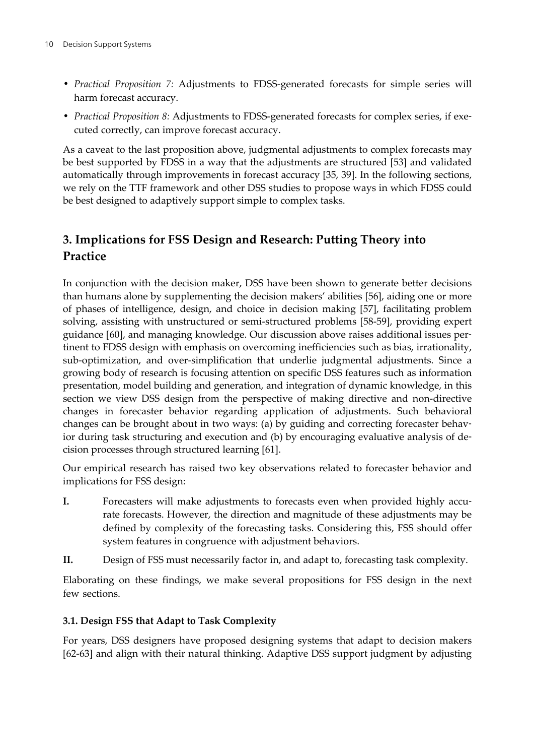- **•** *Practical Proposition 7:* Adjustments to FDSS-generated forecasts for simple series will harm forecast accuracy.
- Practical Proposition 8: Adjustments to FDSS-generated forecasts for complex series, if executed correctly, can improve forecast accuracy.

As a caveat to the last proposition above, judgmental adjustments to complex forecasts may be best supported by FDSS in a way that the adjustments are structured [[53\]](#page-22-0) and validated automatically through improvements in forecast accuracy [[35,](#page-20-0) [39\]](#page-21-0). In the following sections, we rely on the TTF framework and other DSS studies to propose ways in which FDSS could be best designed to adaptively support simple to complex tasks.

# **3. Implications for FSS Design and Research: Putting Theory into Practice**

In conjunction with the decision maker, DSS have been shown to generate better decisions than humans alone by supplementing the decision makers' abilities [[56\]](#page-22-0), aiding one or more of phases of intelligence, design, and choice in decision making [\[57](#page-22-0)], facilitating problem solving, assisting with unstructured or semi-structured problems [\[58-59](#page-22-0)], providing expert guidance [[60\]](#page-22-0), and managing knowledge. Our discussion above raises additional issues per‐ tinent to FDSS design with emphasis on overcoming inefficiencies such as bias, irrationality, sub-optimization, and over-simplification that underlie judgmental adjustments. Since a growing body of research is focusing attention on specific DSS features such as information presentation, model building and generation, and integration of dynamic knowledge, in this section we view DSS design from the perspective of making directive and non-directive changes in forecaster behavior regarding application of adjustments. Such behavioral changes can be brought about in two ways: (a) by guiding and correcting forecaster behav‐ ior during task structuring and execution and (b) by encouraging evaluative analysis of de‐ cision processes through structured learning [[61\]](#page-22-0).

Our empirical research has raised two key observations related to forecaster behavior and implications for FSS design:

- **I.** Forecasters will make adjustments to forecasts even when provided highly accurate forecasts. However, the direction and magnitude of these adjustments may be defined by complexity of the forecasting tasks. Considering this, FSS should offer system features in congruence with adjustment behaviors.
- **II.** Design of FSS must necessarily factor in, and adapt to, forecasting task complexity.

Elaborating on these findings, we make several propositions for FSS design in the next few sections.

#### **3.1. Design FSS that Adapt to Task Complexity**

For years, DSS designers have proposed designing systems that adapt to decision makers [[62-63\]](#page-22-0) and align with their natural thinking. Adaptive DSS support judgment by adjusting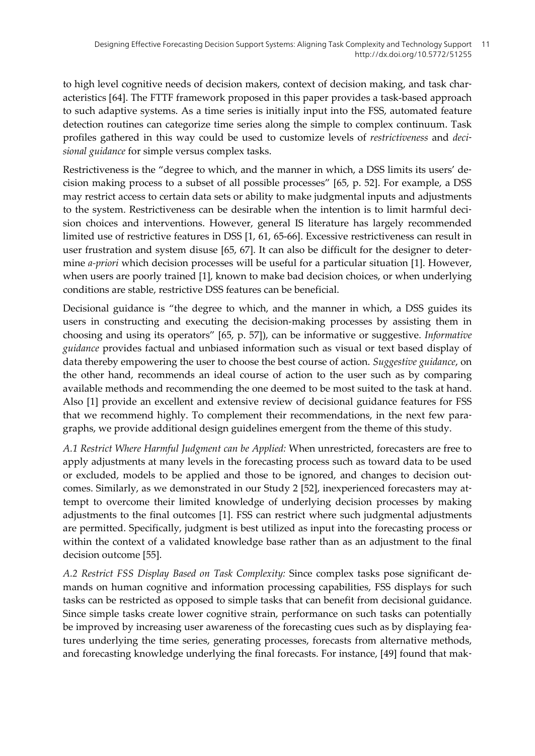to high level cognitive needs of decision makers, context of decision making, and task characteristics [\[64](#page-22-0)]. The FTTF framework proposed in this paper provides a task-based approach to such adaptive systems. As a time series is initially input into the FSS, automated feature detection routines can categorize time series along the simple to complex continuum. Task profiles gathered in this way could be used to customize levels of *restrictiveness* and *deci‐ sional guidance* for simple versus complex tasks.

Restrictiveness is the "degree to which, and the manner in which, a DSS limits its users' de‐ cision making process to a subset of all possible processes" [65, p. 52]. For example, a DSS may restrict access to certain data sets or ability to make judgmental inputs and adjustments to the system. Restrictiveness can be desirable when the intention is to limit harmful decision choices and interventions. However, general IS literature has largely recommended limited use of restrictive features in DSS [[1](#page-18-0), [61,](#page-22-0) [65-66\]](#page-22-0). Excessive restrictiveness can result in user frustration and system disuse [\[65](#page-22-0), [67](#page-22-0)]. It can also be difficult for the designer to determine *a-priori* which decision processes will be useful for a particular situation [\[1\]](#page-18-0). However, when users are poorly trained [\[1\]](#page-18-0), known to make bad decision choices, or when underlying conditions are stable, restrictive DSS features can be beneficial.

Decisional guidance is "the degree to which, and the manner in which, a DSS guides its users in constructing and executing the decision-making processes by assisting them in choosing and using its operators" [65, p. 57]), can be informative or suggestive. *Informative guidance* provides factual and unbiased information such as visual or text based display of data thereby empowering the user to choose the best course of action. *Suggestive guidance*, on the other hand, recommends an ideal course of action to the user such as by comparing available methods and recommending the one deemed to be most suited to the task at hand. Also [\[1\]](#page-18-0) provide an excellent and extensive review of decisional guidance features for FSS that we recommend highly. To complement their recommendations, in the next few paragraphs, we provide additional design guidelines emergent from the theme of this study.

*A.1 Restrict Where Harmful Judgment can be Applied:* When unrestricted, forecasters are free to apply adjustments at many levels in the forecasting process such as toward data to be used or excluded, models to be applied and those to be ignored, and changes to decision out‐ comes. Similarly, as we demonstrated in our Study 2 [\[52](#page-22-0)], inexperienced forecasters may attempt to overcome their limited knowledge of underlying decision processes by making adjustments to the final outcomes [\[1\]](#page-18-0). FSS can restrict where such judgmental adjustments are permitted. Specifically, judgment is best utilized as input into the forecasting process or within the context of a validated knowledge base rather than as an adjustment to the final decision outcome [[55\]](#page-22-0).

*A.2 Restrict FSS Display Based on Task Complexity:* Since complex tasks pose significant de‐ mands on human cognitive and information processing capabilities, FSS displays for such tasks can be restricted as opposed to simple tasks that can benefit from decisional guidance. Since simple tasks create lower cognitive strain, performance on such tasks can potentially be improved by increasing user awareness of the forecasting cues such as by displaying fea‐ tures underlying the time series, generating processes, forecasts from alternative methods, and forecasting knowledge underlying the final forecasts. For instance, [[49\]](#page-21-0) found that mak‐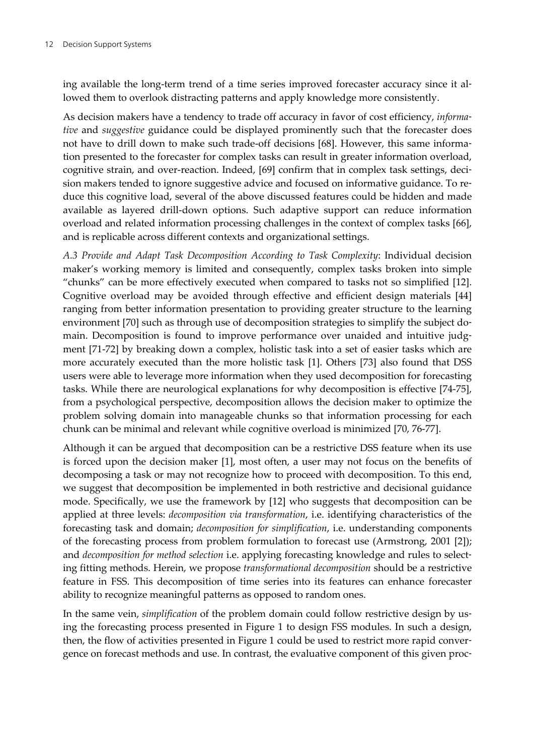ing available the long-term trend of a time series improved forecaster accuracy since it al‐ lowed them to overlook distracting patterns and apply knowledge more consistently.

As decision makers have a tendency to trade off accuracy in favor of cost efficiency, *informa‐ tive* and *suggestive* guidance could be displayed prominently such that the forecaster does not have to drill down to make such trade-off decisions [[68\]](#page-23-0). However, this same information presented to the forecaster for complex tasks can result in greater information overload, cognitive strain, and over-reaction. Indeed, [\[69](#page-23-0)] confirm that in complex task settings, decision makers tended to ignore suggestive advice and focused on informative guidance. To re‐ duce this cognitive load, several of the above discussed features could be hidden and made available as layered drill-down options. Such adaptive support can reduce information overload and related information processing challenges in the context of complex tasks [[66\]](#page-22-0), and is replicable across different contexts and organizational settings.

*A.3 Provide and Adapt Task Decomposition According to Task Complexity*: Individual decision maker's working memory is limited and consequently, complex tasks broken into simple "chunks" can be more effectively executed when compared to tasks not so simplified [[12\]](#page-19-0). Cognitive overload may be avoided through effective and efficient design materials [\[44](#page-21-0)] ranging from better information presentation to providing greater structure to the learning environment [\[70](#page-23-0)] such as through use of decomposition strategies to simplify the subject domain. Decomposition is found to improve performance over unaided and intuitive judgment [\[71-72](#page-23-0)] by breaking down a complex, holistic task into a set of easier tasks which are more accurately executed than the more holistic task [[1](#page-18-0)]. Others [\[73](#page-23-0)] also found that DSS users were able to leverage more information when they used decomposition for forecasting tasks. While there are neurological explanations for why decomposition is effective [[74-75\]](#page-23-0), from a psychological perspective, decomposition allows the decision maker to optimize the problem solving domain into manageable chunks so that information processing for each chunk can be minimal and relevant while cognitive overload is minimized [[70, 76-77](#page-23-0)].

Although it can be argued that decomposition can be a restrictive DSS feature when its use is forced upon the decision maker [[1](#page-18-0)], most often, a user may not focus on the benefits of decomposing a task or may not recognize how to proceed with decomposition. To this end, we suggest that decomposition be implemented in both restrictive and decisional guidance mode. Specifically, we use the framework by [[12\]](#page-19-0) who suggests that decomposition can be applied at three levels: *decomposition via transformation*, i.e. identifying characteristics of the forecasting task and domain; *decomposition for simplification*, i.e. understanding components of the forecasting process from problem formulation to forecast use (Armstrong, 2001 [\[2\]](#page-18-0)); and *decomposition for method selection* i.e. applying forecasting knowledge and rules to selecting fitting methods. Herein, we propose *transformational decomposition* should be a restrictive feature in FSS. This decomposition of time series into its features can enhance forecaster ability to recognize meaningful patterns as opposed to random ones.

In the same vein, *simplification* of the problem domain could follow restrictive design by us‐ ing the forecasting process presented in [Figure 1](#page-13-0) to design FSS modules. In such a design, then, the flow of activities presented in [Figure 1](#page-13-0) could be used to restrict more rapid conver‐ gence on forecast methods and use. In contrast, the evaluative component of this given proc‐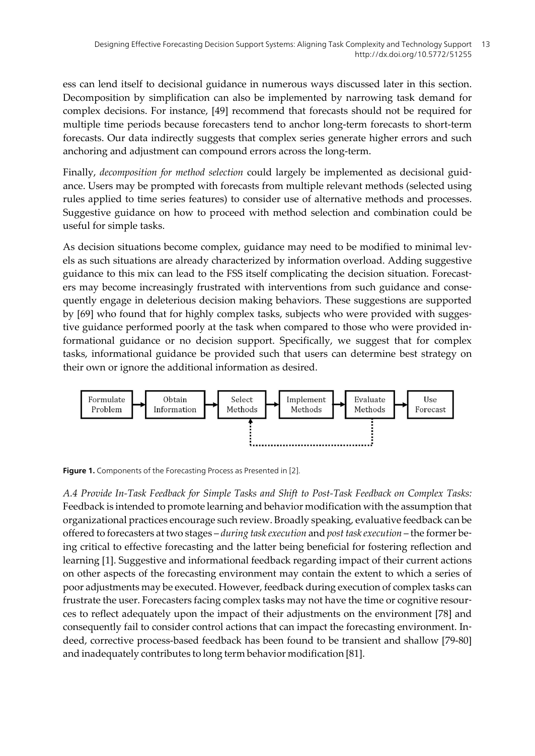<span id="page-13-0"></span>ess can lend itself to decisional guidance in numerous ways discussed later in this section. Decomposition by simplification can also be implemented by narrowing task demand for complex decisions. For instance, [[49\]](#page-21-0) recommend that forecasts should not be required for multiple time periods because forecasters tend to anchor long-term forecasts to short-term forecasts. Our data indirectly suggests that complex series generate higher errors and such anchoring and adjustment can compound errors across the long-term.

Finally, *decomposition for method selection* could largely be implemented as decisional guidance. Users may be prompted with forecasts from multiple relevant methods (selected using rules applied to time series features) to consider use of alternative methods and processes. Suggestive guidance on how to proceed with method selection and combination could be useful for simple tasks.

As decision situations become complex, guidance may need to be modified to minimal levels as such situations are already characterized by information overload. Adding suggestive guidance to this mix can lead to the FSS itself complicating the decision situation. Forecasters may become increasingly frustrated with interventions from such guidance and consequently engage in deleterious decision making behaviors. These suggestions are supported by [\[69](#page-23-0)] who found that for highly complex tasks, subjects who were provided with sugges‐ tive guidance performed poorly at the task when compared to those who were provided in‐ formational guidance or no decision support. Specifically, we suggest that for complex tasks, informational guidance be provided such that users can determine best strategy on their own or ignore the additional information as desired.



**Figure 1.** Components of the Forecasting Process as Presented in [[2\]](#page-18-0).

*A.4 Provide In-Task Feedback for Simple Tasks and Shift to Post-Task Feedback on Complex Tasks:* Feedback is intended to promote learning and behavior modification with the assumption that organizational practices encourage such review. Broadly speaking, evaluative feedback can be offered to forecasters at two stages – *during task execution* and *post task execution* – the former be‐ ing critical to effective forecasting and the latter being beneficial for fostering reflection and learning [[1](#page-18-0)]. Suggestive and informational feedback regarding impact of their current actions on other aspects of the forecasting environment may contain the extent to which a series of poor adjustments may be executed. However, feedback during execution of complex tasks can frustrate the user. Forecasters facing complex tasks may not have the time or cognitive resour‐ ces to reflect adequately upon the impact of their adjustments on the environment [\[78](#page-23-0)] and consequently fail to consider control actions that can impact the forecasting environment. In‐ deed, corrective process-based feedback has been found to be transient and shallow [\[79-80](#page-23-0)] and inadequately contributes to long term behavior modification [[81\]](#page-23-0).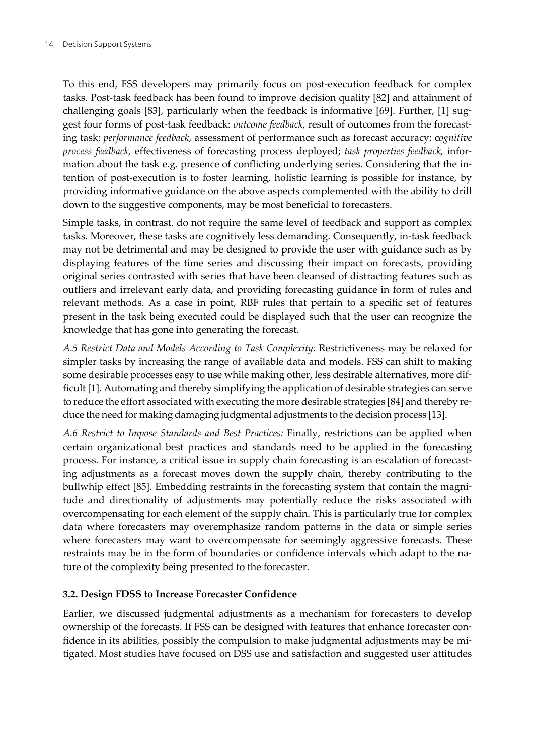To this end, FSS developers may primarily focus on post-execution feedback for complex tasks. Post-task feedback has been found to improve decision quality [\[82](#page-23-0)] and attainment of challenging goals [\[83](#page-24-0)], particularly when the feedback is informative [[69\]](#page-23-0). Further, [\[1\]](#page-18-0) suggest four forms of post-task feedback: *outcome feedback*, result of outcomes from the forecasting task; *performance feedback*, assessment of performance such as forecast accuracy; c*ognitive process feedback,* effectiveness of forecasting process deployed; *task properties feedback,* infor‐ mation about the task e.g. presence of conflicting underlying series. Considering that the intention of post-execution is to foster learning, holistic learning is possible for instance, by providing informative guidance on the above aspects complemented with the ability to drill down to the suggestive components, may be most beneficial to forecasters.

Simple tasks, in contrast, do not require the same level of feedback and support as complex tasks. Moreover, these tasks are cognitively less demanding. Consequently, in-task feedback may not be detrimental and may be designed to provide the user with guidance such as by displaying features of the time series and discussing their impact on forecasts, providing original series contrasted with series that have been cleansed of distracting features such as outliers and irrelevant early data, and providing forecasting guidance in form of rules and relevant methods. As a case in point, RBF rules that pertain to a specific set of features present in the task being executed could be displayed such that the user can recognize the knowledge that has gone into generating the forecast.

*A.5 Restrict Data and Models According to Task Complexity:* Restrictiveness may be relaxed for simpler tasks by increasing the range of available data and models. FSS can shift to making some desirable processes easy to use while making other, less desirable alternatives, more difficult [\[1\]](#page-18-0). Automating and thereby simplifying the application of desirable strategies can serve to reduce the effort associated with executing the more desirable strategies [[84\]](#page-24-0) and thereby reduce the need for making damaging judgmental adjustments to the decision process [\[13](#page-19-0)].

*A.6 Restrict to Impose Standards and Best Practices:* Finally, restrictions can be applied when certain organizational best practices and standards need to be applied in the forecasting process. For instance, a critical issue in supply chain forecasting is an escalation of forecasting adjustments as a forecast moves down the supply chain, thereby contributing to the bullwhip effect [[85\]](#page-24-0). Embedding restraints in the forecasting system that contain the magnitude and directionality of adjustments may potentially reduce the risks associated with overcompensating for each element of the supply chain. This is particularly true for complex data where forecasters may overemphasize random patterns in the data or simple series where forecasters may want to overcompensate for seemingly aggressive forecasts. These restraints may be in the form of boundaries or confidence intervals which adapt to the na‐ ture of the complexity being presented to the forecaster.

#### **3.2. Design FDSS to Increase Forecaster Confidence**

Earlier, we discussed judgmental adjustments as a mechanism for forecasters to develop ownership of the forecasts. If FSS can be designed with features that enhance forecaster con‐ fidence in its abilities, possibly the compulsion to make judgmental adjustments may be mi‐ tigated. Most studies have focused on DSS use and satisfaction and suggested user attitudes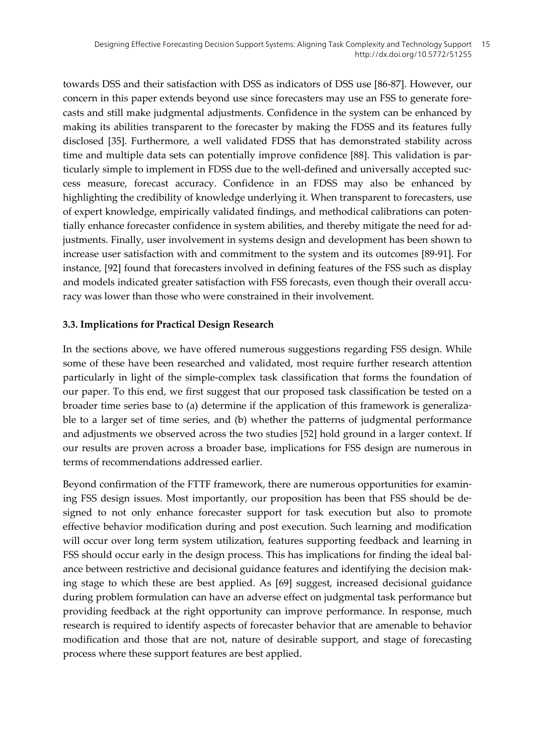towards DSS and their satisfaction with DSS as indicators of DSS use [\[86-87](#page-24-0)]. However, our concern in this paper extends beyond use since forecasters may use an FSS to generate fore‐ casts and still make judgmental adjustments. Confidence in the system can be enhanced by making its abilities transparent to the forecaster by making the FDSS and its features fully disclosed [\[35](#page-20-0)]. Furthermore, a well validated FDSS that has demonstrated stability across time and multiple data sets can potentially improve confidence [[88\]](#page-24-0). This validation is particularly simple to implement in FDSS due to the well-defined and universally accepted suc‐ cess measure, forecast accuracy. Confidence in an FDSS may also be enhanced by highlighting the credibility of knowledge underlying it. When transparent to forecasters, use of expert knowledge, empirically validated findings, and methodical calibrations can poten‐ tially enhance forecaster confidence in system abilities, and thereby mitigate the need for ad‐ justments. Finally, user involvement in systems design and development has been shown to increase user satisfaction with and commitment to the system and its outcomes [[89-91\]](#page-24-0). For instance, [\[92](#page-24-0)] found that forecasters involved in defining features of the FSS such as display and models indicated greater satisfaction with FSS forecasts, even though their overall accuracy was lower than those who were constrained in their involvement.

#### **3.3. Implications for Practical Design Research**

In the sections above, we have offered numerous suggestions regarding FSS design. While some of these have been researched and validated, most require further research attention particularly in light of the simple-complex task classification that forms the foundation of our paper. To this end, we first suggest that our proposed task classification be tested on a broader time series base to (a) determine if the application of this framework is generaliza‐ ble to a larger set of time series, and (b) whether the patterns of judgmental performance and adjustments we observed across the two studies [[52\]](#page-22-0) hold ground in a larger context. If our results are proven across a broader base, implications for FSS design are numerous in terms of recommendations addressed earlier.

Beyond confirmation of the FTTF framework, there are numerous opportunities for examining FSS design issues. Most importantly, our proposition has been that FSS should be de‐ signed to not only enhance forecaster support for task execution but also to promote effective behavior modification during and post execution. Such learning and modification will occur over long term system utilization, features supporting feedback and learning in FSS should occur early in the design process. This has implications for finding the ideal balance between restrictive and decisional guidance features and identifying the decision mak‐ ing stage to which these are best applied. As [\[69](#page-23-0)] suggest, increased decisional guidance during problem formulation can have an adverse effect on judgmental task performance but providing feedback at the right opportunity can improve performance. In response, much research is required to identify aspects of forecaster behavior that are amenable to behavior modification and those that are not, nature of desirable support, and stage of forecasting process where these support features are best applied.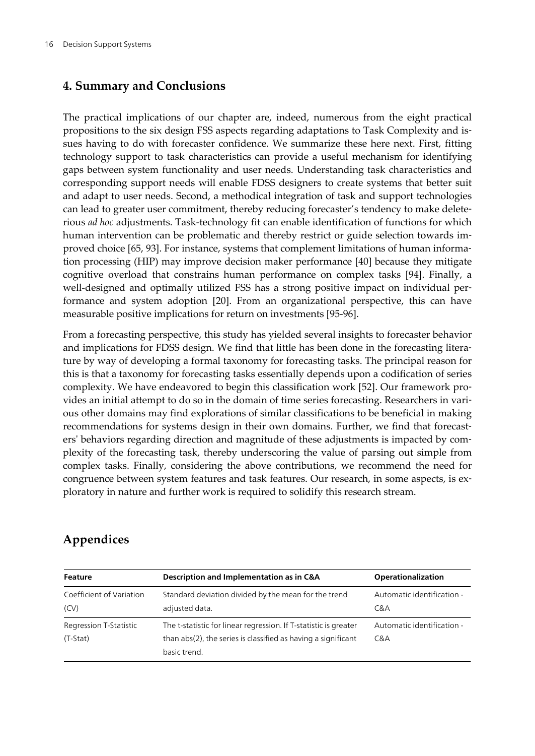#### **4. Summary and Conclusions**

The practical implications of our chapter are, indeed, numerous from the eight practical propositions to the six design FSS aspects regarding adaptations to Task Complexity and is‐ sues having to do with forecaster confidence. We summarize these here next. First, fitting technology support to task characteristics can provide a useful mechanism for identifying gaps between system functionality and user needs. Understanding task characteristics and corresponding support needs will enable FDSS designers to create systems that better suit and adapt to user needs. Second, a methodical integration of task and support technologies can lead to greater user commitment, thereby reducing forecaster's tendency to make deleterious *ad hoc* adjustments. Task-technology fit can enable identification of functions for which human intervention can be problematic and thereby restrict or guide selection towards im‐ proved choice [\[65](#page-22-0), [93\]](#page-24-0). For instance, systems that complement limitations of human information processing (HIP) may improve decision maker performance [\[40](#page-21-0)] because they mitigate cognitive overload that constrains human performance on complex tasks [\[94](#page-24-0)]. Finally, a well-designed and optimally utilized FSS has a strong positive impact on individual performance and system adoption [[20\]](#page-19-0). From an organizational perspective, this can have measurable positive implications for return on investments [\[95-96](#page-24-0)].

From a forecasting perspective, this study has yielded several insights to forecaster behavior and implications for FDSS design. We find that little has been done in the forecasting literature by way of developing a formal taxonomy for forecasting tasks. The principal reason for this is that a taxonomy for forecasting tasks essentially depends upon a codification of series complexity. We have endeavored to begin this classification work [\[52](#page-22-0)]. Our framework pro‐ vides an initial attempt to do so in the domain of time series forecasting. Researchers in vari‐ ous other domains may find explorations of similar classifications to be beneficial in making recommendations for systems design in their own domains. Further, we find that forecasters' behaviors regarding direction and magnitude of these adjustments is impacted by complexity of the forecasting task, thereby underscoring the value of parsing out simple from complex tasks. Finally, considering the above contributions, we recommend the need for congruence between system features and task features. Our research, in some aspects, is ex‐ ploratory in nature and further work is required to solidify this research stream.

| Appendices |  |
|------------|--|
|------------|--|

| Feature                            | Description and Implementation as in C&A                                                                                                          | Operationalization                |
|------------------------------------|---------------------------------------------------------------------------------------------------------------------------------------------------|-----------------------------------|
| Coefficient of Variation<br>(CV)   | Standard deviation divided by the mean for the trend<br>adjusted data.                                                                            | Automatic identification -<br>C&A |
| Regression T-Statistic<br>(T-Stat) | The t-statistic for linear regression. If T-statistic is greater<br>than abs(2), the series is classified as having a significant<br>basic trend. | Automatic identification -<br>C&A |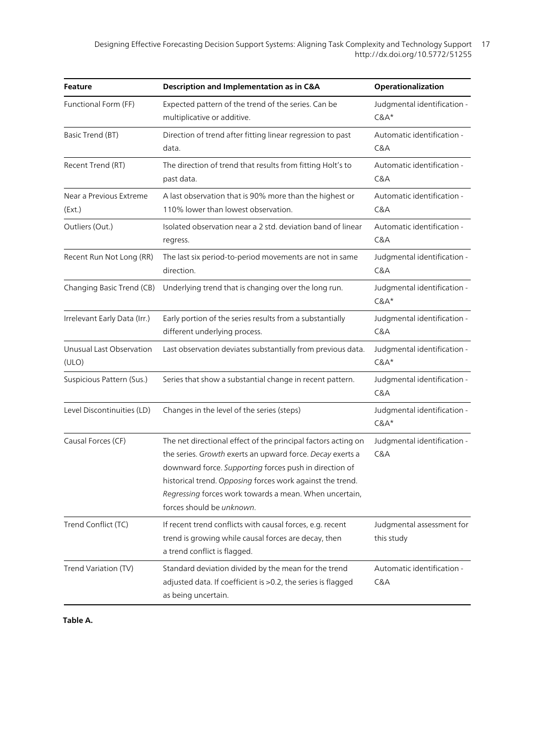| Feature                           | Description and Implementation as in C&A                                                                                                                                                                                                                                                                                                 | Operationalization                      |
|-----------------------------------|------------------------------------------------------------------------------------------------------------------------------------------------------------------------------------------------------------------------------------------------------------------------------------------------------------------------------------------|-----------------------------------------|
| Functional Form (FF)              | Expected pattern of the trend of the series. Can be<br>multiplicative or additive.                                                                                                                                                                                                                                                       | Judgmental identification -<br>$C&A*$   |
| Basic Trend (BT)                  | Direction of trend after fitting linear regression to past<br>data.                                                                                                                                                                                                                                                                      | Automatic identification -<br>C&A       |
| Recent Trend (RT)                 | The direction of trend that results from fitting Holt's to<br>past data.                                                                                                                                                                                                                                                                 | Automatic identification -<br>C&A       |
| Near a Previous Extreme<br>(Ext.) | A last observation that is 90% more than the highest or<br>110% lower than lowest observation.                                                                                                                                                                                                                                           | Automatic identification -<br>C&A       |
| Outliers (Out.)                   | Isolated observation near a 2 std. deviation band of linear<br>regress.                                                                                                                                                                                                                                                                  | Automatic identification -<br>C&A       |
| Recent Run Not Long (RR)          | The last six period-to-period movements are not in same<br>direction.                                                                                                                                                                                                                                                                    | Judgmental identification -<br>C&A      |
| Changing Basic Trend (CB)         | Underlying trend that is changing over the long run.                                                                                                                                                                                                                                                                                     | Judgmental identification -<br>$C&A*$   |
| Irrelevant Early Data (Irr.)      | Early portion of the series results from a substantially<br>different underlying process.                                                                                                                                                                                                                                                | Judgmental identification -<br>C&A      |
| Unusual Last Observation<br>(ULO) | Last observation deviates substantially from previous data.                                                                                                                                                                                                                                                                              | Judgmental identification -<br>$C&A*$   |
| Suspicious Pattern (Sus.)         | Series that show a substantial change in recent pattern.                                                                                                                                                                                                                                                                                 | Judgmental identification -<br>C&A      |
| Level Discontinuities (LD)        | Changes in the level of the series (steps)                                                                                                                                                                                                                                                                                               | Judgmental identification -<br>$C&A*$   |
| Causal Forces (CF)                | The net directional effect of the principal factors acting on<br>the series. Growth exerts an upward force. Decay exerts a<br>downward force. Supporting forces push in direction of<br>historical trend. Opposing forces work against the trend.<br>Regressing forces work towards a mean. When uncertain,<br>forces should be unknown. | Judgmental identification -<br>C&A      |
| Trend Conflict (TC)               | If recent trend conflicts with causal forces, e.g. recent<br>trend is growing while causal forces are decay, then<br>a trend conflict is flagged.                                                                                                                                                                                        | Judgmental assessment for<br>this study |
| Trend Variation (TV)              | Standard deviation divided by the mean for the trend<br>adjusted data. If coefficient is >0.2, the series is flagged<br>as being uncertain.                                                                                                                                                                                              | Automatic identification -<br>C&A       |

#### **Table A.**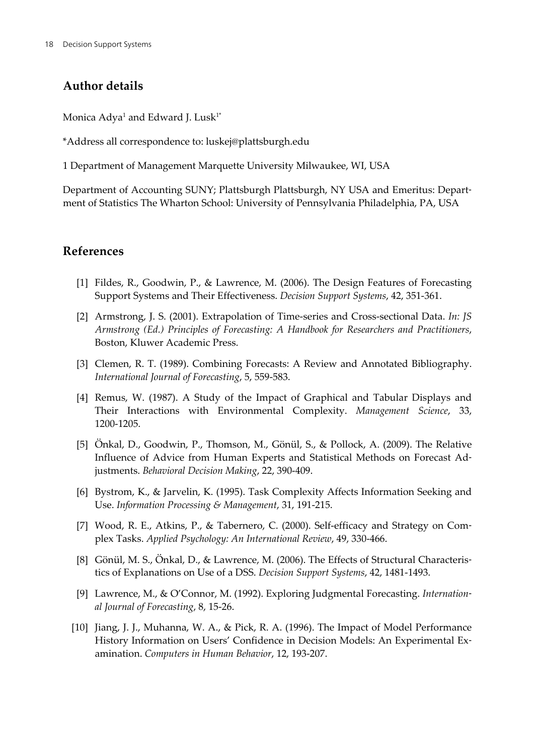### <span id="page-18-0"></span>**Author details**

Monica Adya<sup>1</sup> and Edward J. Lusk<sup>1\*</sup>

\*Address all correspondence to: luskej@plattsburgh.edu

1 Department of Management Marquette University Milwaukee, WI, USA

Department of Accounting SUNY; Plattsburgh Plattsburgh, NY USA and Emeritus: Depart‐ ment of Statistics The Wharton School: University of Pennsylvania Philadelphia, PA, USA

#### **References**

- [1] Fildes, R., Goodwin, P., & Lawrence, M. (2006). The Design Features of Forecasting Support Systems and Their Effectiveness. *Decision Support Systems*, 42, 351-361.
- [2] Armstrong, J. S. (2001). Extrapolation of Time-series and Cross-sectional Data. *In: JS Armstrong (Ed.) Principles of Forecasting: A Handbook for Researchers and Practitioners*, Boston, Kluwer Academic Press.
- [3] Clemen, R. T. (1989). Combining Forecasts: A Review and Annotated Bibliography. *International Journal of Forecasting*, 5, 559-583.
- [4] Remus, W. (1987). A Study of the Impact of Graphical and Tabular Displays and Their Interactions with Environmental Complexity. *Management Science*, 33, 1200-1205.
- [5] Önkal, D., Goodwin, P., Thomson, M., Gönül, S., & Pollock, A. (2009). The Relative Influence of Advice from Human Experts and Statistical Methods on Forecast Ad‐ justments. *Behavioral Decision Making*, 22, 390-409.
- [6] Bystrom, K., & Jarvelin, K. (1995). Task Complexity Affects Information Seeking and Use. *Information Processing & Management*, 31, 191-215.
- [7] Wood, R. E., Atkins, P., & Tabernero, C. (2000). Self-efficacy and Strategy on Complex Tasks. *Applied Psychology: An International Review*, 49, 330-466.
- [8] Gönül, M. S., Önkal, D., & Lawrence, M. (2006). The Effects of Structural Characteristics of Explanations on Use of a DSS. *Decision Support Systems*, 42, 1481-1493.
- [9] Lawrence, M., & O'Connor, M. (1992). Exploring Judgmental Forecasting. *Internation‐ al Journal of Forecasting*, 8, 15-26.
- [10] Jiang, J. J., Muhanna, W. A., & Pick, R. A. (1996). The Impact of Model Performance History Information on Users' Confidence in Decision Models: An Experimental Ex‐ amination. *Computers in Human Behavior*, 12, 193-207.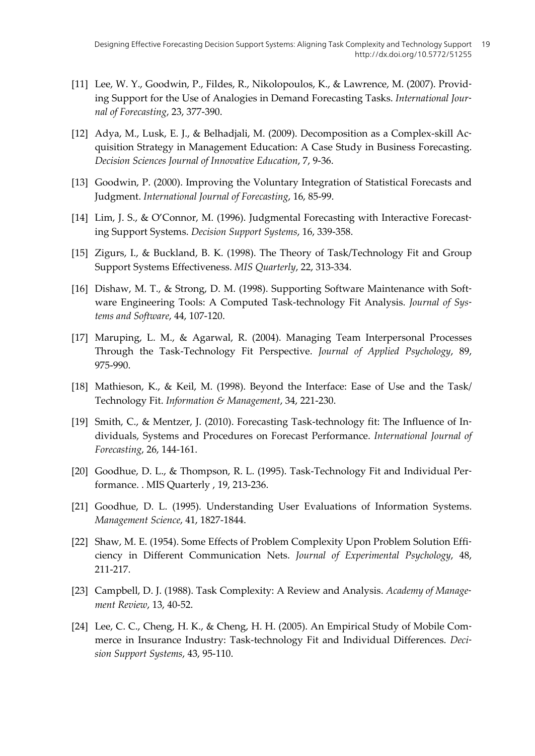- <span id="page-19-0"></span>[11] Lee, W. Y., Goodwin, P., Fildes, R., Nikolopoulos, K., & Lawrence, M. (2007). Provid‐ ing Support for the Use of Analogies in Demand Forecasting Tasks. *International Jour‐ nal of Forecasting*, 23, 377-390.
- [12] Adya, M., Lusk, E. J., & Belhadjali, M. (2009). Decomposition as a Complex-skill Ac‐ quisition Strategy in Management Education: A Case Study in Business Forecasting. *Decision Sciences Journal of Innovative Education*, 7, 9-36.
- [13] Goodwin, P. (2000). Improving the Voluntary Integration of Statistical Forecasts and Judgment. *International Journal of Forecasting*, 16, 85-99.
- [14] Lim, J. S., & O'Connor, M. (1996). Judgmental Forecasting with Interactive Forecasting Support Systems. *Decision Support Systems*, 16, 339-358.
- [15] Zigurs, I., & Buckland, B. K. (1998). The Theory of Task/Technology Fit and Group Support Systems Effectiveness. *MIS Quarterly*, 22, 313-334.
- [16] Dishaw, M. T., & Strong, D. M. (1998). Supporting Software Maintenance with Soft‐ ware Engineering Tools: A Computed Task-technology Fit Analysis. *Journal of Sys‐ tems and Software*, 44, 107-120.
- [17] Maruping, L. M., & Agarwal, R. (2004). Managing Team Interpersonal Processes Through the Task-Technology Fit Perspective. *Journal of Applied Psychology*, 89, 975-990.
- [18] Mathieson, K., & Keil, M. (1998). Beyond the Interface: Ease of Use and the Task/ Technology Fit. *Information & Management*, 34, 221-230.
- [19] Smith, C., & Mentzer, J. (2010). Forecasting Task-technology fit: The Influence of In‐ dividuals, Systems and Procedures on Forecast Performance. *International Journal of Forecasting*, 26, 144-161.
- [20] Goodhue, D. L., & Thompson, R. L. (1995). Task-Technology Fit and Individual Per‐ formance. . MIS Quarterly , 19, 213-236.
- [21] Goodhue, D. L. (1995). Understanding User Evaluations of Information Systems. *Management Science*, 41, 1827-1844.
- [22] Shaw, M. E. (1954). Some Effects of Problem Complexity Upon Problem Solution Efficiency in Different Communication Nets. *Journal of Experimental Psychology*, 48, 211-217.
- [23] Campbell, D. J. (1988). Task Complexity: A Review and Analysis. *Academy of Manage‐ ment Review*, 13, 40-52.
- [24] Lee, C. C., Cheng, H. K., & Cheng, H. H. (2005). An Empirical Study of Mobile Commerce in Insurance Industry: Task-technology Fit and Individual Differences. *Deci‐ sion Support Systems*, 43, 95-110.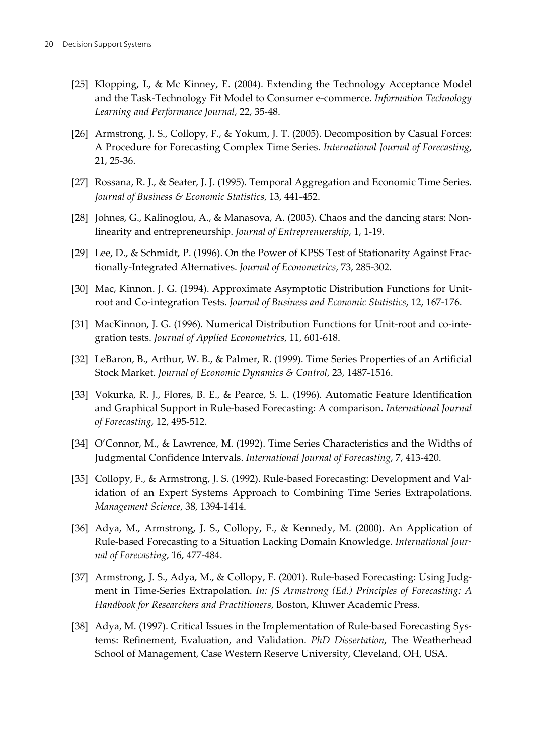- <span id="page-20-0"></span>[25] Klopping, I., & Mc Kinney, E. (2004). Extending the Technology Acceptance Model and the Task-Technology Fit Model to Consumer e-commerce. *Information Technology Learning and Performance Journal*, 22, 35-48.
- [26] Armstrong, J. S., Collopy, F., & Yokum, J. T. (2005). Decomposition by Casual Forces: A Procedure for Forecasting Complex Time Series. *International Journal of Forecasting*, 21, 25-36.
- [27] Rossana, R. J., & Seater, J. J. (1995). Temporal Aggregation and Economic Time Series. *Journal of Business & Economic Statistics*, 13, 441-452.
- [28] Johnes, G., Kalinoglou, A., & Manasova, A. (2005). Chaos and the dancing stars: Nonlinearity and entrepreneurship. *Journal of Entreprenuership*, 1, 1-19.
- [29] Lee, D., & Schmidt, P. (1996). On the Power of KPSS Test of Stationarity Against Fractionally-Integrated Alternatives. *Journal of Econometrics*, 73, 285-302.
- [30] Mac, Kinnon. J. G. (1994). Approximate Asymptotic Distribution Functions for Unitroot and Co-integration Tests. *Journal of Business and Economic Statistics*, 12, 167-176.
- [31] MacKinnon, J. G. (1996). Numerical Distribution Functions for Unit-root and co-integration tests. *Journal of Applied Econometrics*, 11, 601-618.
- [32] LeBaron, B., Arthur, W. B., & Palmer, R. (1999). Time Series Properties of an Artificial Stock Market. *Journal of Economic Dynamics & Control*, 23, 1487-1516.
- [33] Vokurka, R. J., Flores, B. E., & Pearce, S. L. (1996). Automatic Feature Identification and Graphical Support in Rule-based Forecasting: A comparison. *International Journal of Forecasting*, 12, 495-512.
- [34] O'Connor, M., & Lawrence, M. (1992). Time Series Characteristics and the Widths of Judgmental Confidence Intervals. *International Journal of Forecasting*, 7, 413-420.
- [35] Collopy, F., & Armstrong, J. S. (1992). Rule-based Forecasting: Development and Val‐ idation of an Expert Systems Approach to Combining Time Series Extrapolations. *Management Science*, 38, 1394-1414.
- [36] Adya, M., Armstrong, J. S., Collopy, F., & Kennedy, M. (2000). An Application of Rule-based Forecasting to a Situation Lacking Domain Knowledge. *International Jour‐ nal of Forecasting*, 16, 477-484.
- [37] Armstrong, J. S., Adya, M., & Collopy, F. (2001). Rule-based Forecasting: Using Judgment in Time-Series Extrapolation. *In: JS Armstrong (Ed.) Principles of Forecasting: A Handbook for Researchers and Practitioners*, Boston, Kluwer Academic Press.
- [38] Adya, M. (1997). Critical Issues in the Implementation of Rule-based Forecasting Systems: Refinement, Evaluation, and Validation. *PhD Dissertation*, The Weatherhead School of Management, Case Western Reserve University, Cleveland, OH, USA.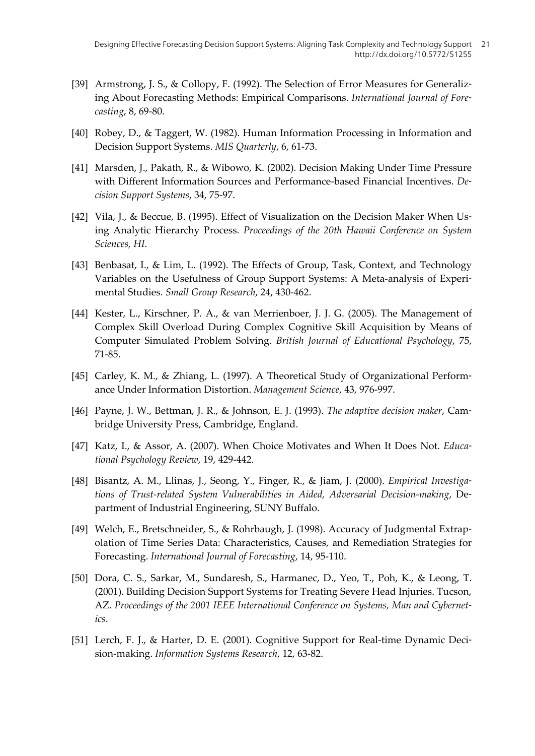- <span id="page-21-0"></span>[39] Armstrong, J. S., & Collopy, F. (1992). The Selection of Error Measures for Generalizing About Forecasting Methods: Empirical Comparisons. *International Journal of Fore‐ casting*, 8, 69-80.
- [40] Robey, D., & Taggert, W. (1982). Human Information Processing in Information and Decision Support Systems. *MIS Quarterly*, 6, 61-73.
- [41] Marsden, J., Pakath, R., & Wibowo, K. (2002). Decision Making Under Time Pressure with Different Information Sources and Performance-based Financial Incentives. *De‐ cision Support Systems*, 34, 75-97.
- [42] Vila, J., & Beccue, B. (1995). Effect of Visualization on the Decision Maker When Us‐ ing Analytic Hierarchy Process. *Proceedings of the 20th Hawaii Conference on System Sciences, HI*.
- [43] Benbasat, I., & Lim, L. (1992). The Effects of Group, Task, Context, and Technology Variables on the Usefulness of Group Support Systems: A Meta-analysis of Experi‐ mental Studies. *Small Group Research*, 24, 430-462.
- [44] Kester, L., Kirschner, P. A., & van Merrienboer, J. J. G. (2005). The Management of Complex Skill Overload During Complex Cognitive Skill Acquisition by Means of Computer Simulated Problem Solving. *British Journal of Educational Psychology*, 75, 71-85.
- [45] Carley, K. M., & Zhiang, L. (1997). A Theoretical Study of Organizational Performance Under Information Distortion. *Management Science*, 43, 976-997.
- [46] Payne, J. W., Bettman, J. R., & Johnson, E. J. (1993). *The adaptive decision maker*, Cam‐ bridge University Press, Cambridge, England.
- [47] Katz, I., & Assor, A. (2007). When Choice Motivates and When It Does Not. *Educa‐ tional Psychology Review*, 19, 429-442.
- [48] Bisantz, A. M., Llinas, J., Seong, Y., Finger, R., & Jiam, J. (2000). *Empirical Investiga‐ tions of Trust-related System Vulnerabilities in Aided, Adversarial Decision-making*, De‐ partment of Industrial Engineering, SUNY Buffalo.
- [49] Welch, E., Bretschneider, S., & Rohrbaugh, J. (1998). Accuracy of Judgmental Extrap‐ olation of Time Series Data: Characteristics, Causes, and Remediation Strategies for Forecasting. *International Journal of Forecasting*, 14, 95-110.
- [50] Dora, C. S., Sarkar, M., Sundaresh, S., Harmanec, D., Yeo, T., Poh, K., & Leong, T. (2001). Building Decision Support Systems for Treating Severe Head Injuries. Tucson, AZ. *Proceedings of the 2001 IEEE International Conference on Systems, Man and Cybernet‐ ics*.
- [51] Lerch, F. J., & Harter, D. E. (2001). Cognitive Support for Real-time Dynamic Decision-making. *Information Systems Research*, 12, 63-82.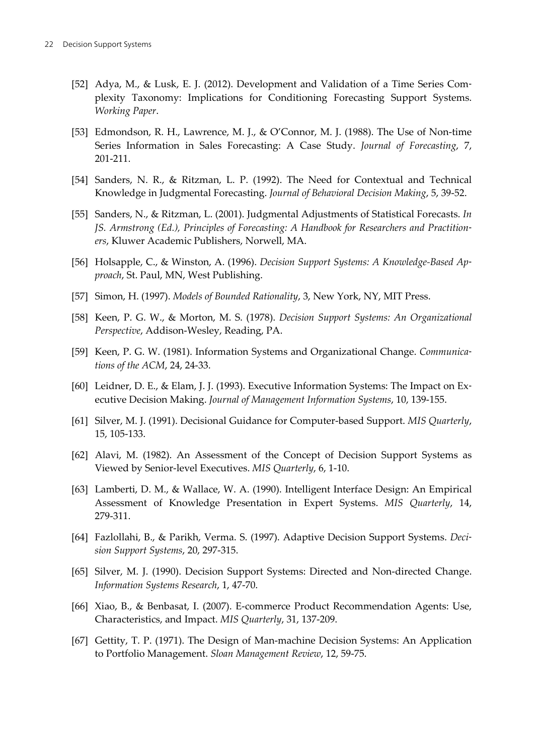- <span id="page-22-0"></span>[52] Adya, M., & Lusk, E. J. (2012). Development and Validation of a Time Series Complexity Taxonomy: Implications for Conditioning Forecasting Support Systems. *Working Paper*.
- [53] Edmondson, R. H., Lawrence, M. J., & O'Connor, M. J. (1988). The Use of Non-time Series Information in Sales Forecasting: A Case Study. *Journal of Forecasting*, 7, 201-211.
- [54] Sanders, N. R., & Ritzman, L. P. (1992). The Need for Contextual and Technical Knowledge in Judgmental Forecasting. *Journal of Behavioral Decision Making*, 5, 39-52.
- [55] Sanders, N., & Ritzman, L. (2001). Judgmental Adjustments of Statistical Forecasts. *In JS. Armstrong (Ed.), Principles of Forecasting: A Handbook for Researchers and Practition‐ ers*, Kluwer Academic Publishers, Norwell, MA.
- [56] Holsapple, C., & Winston, A. (1996). *Decision Support Systems: A Knowledge-Based Ap‐ proach*, St. Paul, MN, West Publishing.
- [57] Simon, H. (1997). *Models of Bounded Rationality*, 3, New York, NY, MIT Press.
- [58] Keen, P. G. W., & Morton, M. S. (1978). *Decision Support Systems: An Organizational Perspective*, Addison-Wesley, Reading, PA.
- [59] Keen, P. G. W. (1981). Information Systems and Organizational Change. *Communica‐ tions of the ACM*, 24, 24-33.
- [60] Leidner, D. E., & Elam, J. J. (1993). Executive Information Systems: The Impact on Ex‐ ecutive Decision Making. *Journal of Management Information Systems*, 10, 139-155.
- [61] Silver, M. J. (1991). Decisional Guidance for Computer-based Support. *MIS Quarterly*, 15, 105-133.
- [62] Alavi, M. (1982). An Assessment of the Concept of Decision Support Systems as Viewed by Senior-level Executives. *MIS Quarterly*, 6, 1-10.
- [63] Lamberti, D. M., & Wallace, W. A. (1990). Intelligent Interface Design: An Empirical Assessment of Knowledge Presentation in Expert Systems. *MIS Quarterly*, 14, 279-311.
- [64] Fazlollahi, B., & Parikh, Verma. S. (1997). Adaptive Decision Support Systems. *Deci‐ sion Support Systems*, 20, 297-315.
- [65] Silver, M. J. (1990). Decision Support Systems: Directed and Non-directed Change. *Information Systems Research*, 1, 47-70.
- [66] Xiao, B., & Benbasat, I. (2007). E-commerce Product Recommendation Agents: Use, Characteristics, and Impact. *MIS Quarterly*, 31, 137-209.
- [67] Gettity, T. P. (1971). The Design of Man-machine Decision Systems: An Application to Portfolio Management. *Sloan Management Review*, 12, 59-75.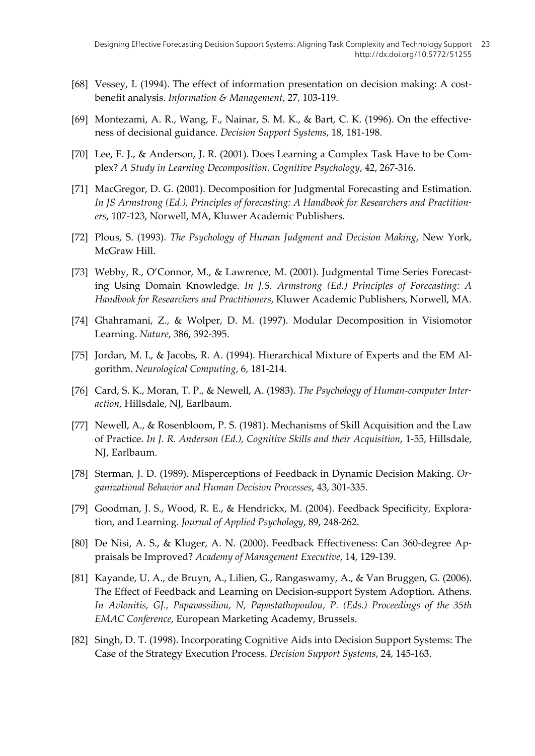- <span id="page-23-0"></span>[68] Vessey, I. (1994). The effect of information presentation on decision making: A costbenefit analysis. *Information & Management*, 27, 103-119.
- [69] Montezami, A. R., Wang, F., Nainar, S. M. K., & Bart, C. K. (1996). On the effectiveness of decisional guidance. *Decision Support Systems*, 18, 181-198.
- [70] Lee, F. J., & Anderson, J. R. (2001). Does Learning a Complex Task Have to be Complex? *A Study in Learning Decomposition. Cognitive Psychology*, 42, 267-316.
- [71] MacGregor, D. G. (2001). Decomposition for Judgmental Forecasting and Estimation. *In JS Armstrong (Ed.), Principles of forecasting: A Handbook for Researchers and Practition‐ ers*, 107-123, Norwell, MA, Kluwer Academic Publishers.
- [72] Plous, S. (1993). *The Psychology of Human Judgment and Decision Making*, New York, McGraw Hill.
- [73] Webby, R., O'Connor, M., & Lawrence, M. (2001). Judgmental Time Series Forecasting Using Domain Knowledge. *In J.S. Armstrong (Ed.) Principles of Forecasting: A Handbook for Researchers and Practitioners*, Kluwer Academic Publishers, Norwell, MA.
- [74] Ghahramani, Z., & Wolper, D. M. (1997). Modular Decomposition in Visiomotor Learning. *Nature*, 386, 392-395.
- [75] Jordan, M. I., & Jacobs, R. A. (1994). Hierarchical Mixture of Experts and the EM Algorithm. *Neurological Computing*, 6, 181-214.
- [76] Card, S. K., Moran, T. P., & Newell, A. (1983). *The Psychology of Human-computer Inter‐ action*, Hillsdale, NJ, Earlbaum.
- [77] Newell, A., & Rosenbloom, P. S. (1981). Mechanisms of Skill Acquisition and the Law of Practice. *In J. R. Anderson (Ed.), Cognitive Skills and their Acquisition*, 1-55, Hillsdale, NJ, Earlbaum.
- [78] Sterman, J. D. (1989). Misperceptions of Feedback in Dynamic Decision Making. *Or‐ ganizational Behavior and Human Decision Processes*, 43, 301-335.
- [79] Goodman, J. S., Wood, R. E., & Hendrickx, M. (2004). Feedback Specificity, Exploration, and Learning. *Journal of Applied Psychology*, 89, 248-262.
- [80] De Nisi, A. S., & Kluger, A. N. (2000). Feedback Effectiveness: Can 360-degree Appraisals be Improved? *Academy of Management Executive*, 14, 129-139.
- [81] Kayande, U. A., de Bruyn, A., Lilien, G., Rangaswamy, A., & Van Bruggen, G. (2006). The Effect of Feedback and Learning on Decision-support System Adoption. Athens. *In Avlonitis, GJ., Papavassiliou, N, Papastathopoulou, P. (Eds.) Proceedings of the 35th EMAC Conference*, European Marketing Academy, Brussels.
- [82] Singh, D. T. (1998). Incorporating Cognitive Aids into Decision Support Systems: The Case of the Strategy Execution Process. *Decision Support Systems*, 24, 145-163.